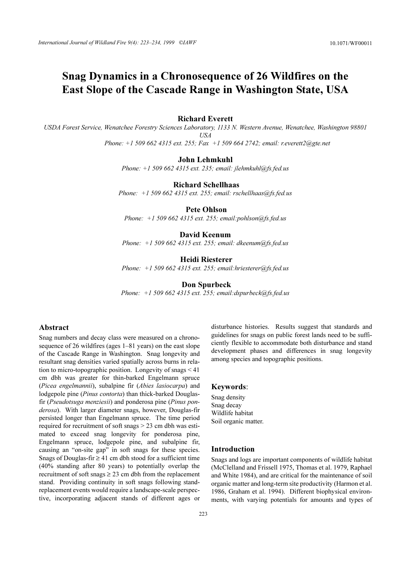# Snag Dynamics in a Chronosequence of 26 Wildfires on the East Slope of the Cascade Range in Washington State, USA

## **Richard Everett**

USDA Forest Service, Wenatchee Forestry Sciences Laboratory, 1133 N. Western Avenue, Wenatchee, Washington 98801  $USA$ Phone:  $+1$  509 662 4315 ext. 255: Fax  $+1$  509 664 2742: email: r.everett2@gte.net

## **John Lehmkuhl**

Phone:  $+1$  509 662 4315 ext. 235; email: jlehmkuhl@fs.fed.us

**Richard Schellhaas** 

Phone:  $+1$  509 662 4315 ext. 255; email: rschellhaas@fs.fed.us

## **Pete Ohlson**

Phone:  $+1$  509 662 4315 ext. 255; email: pohlson@fs.fed.us

# David Keenum

Phone:  $+1$  509 662 4315 ext. 255; email: dkeenum@fs.fed.us

# **Heidi Riesterer**

Phone:  $+15096624315$  ext. 255: email: hriesterer@fs.fed.us

#### **Don Spurbeck**

Phone:  $+1$  509 662 4315 ext. 255; email: dspurbeck( $a$ fs. fed. us

# Abstract

Snag numbers and decay class were measured on a chronosequence of 26 wildfires (ages 1–81 years) on the east slope of the Cascade Range in Washington. Snag longevity and resultant snag densities varied spatially across burns in relation to micro-topographic position. Longevity of snags  $\leq 41$ cm dbh was greater for thin-barked Engelmann spruce (Picea engelmannii), subalpine fir (Abies lasiocarpa) and lodgepole pine (*Pinus contorta*) than thick-barked Douglasfir (Pseudotsuga menziesii) and ponderosa pine (Pinus ponderosa). With larger diameter snags, however, Douglas-fir persisted longer than Engelmann spruce. The time period required for recruitment of soft snags > 23 cm dbh was estimated to exceed snag longevity for ponderosa pine, Engelmann spruce, lodgepole pine, and subalpine fir, causing an "on-site gap" in soft snags for these species. Snags of Douglas-fir  $\geq$  41 cm dbh stood for a sufficient time (40% standing after 80 years) to potentially overlap the recruitment of soft snags  $\geq$  23 cm dbh from the replacement stand. Providing continuity in soft snags following standreplacement events would require a landscape-scale perspective, incorporating adjacent stands of different ages or

disturbance histories. Results suggest that standards and guidelines for snags on public forest lands need to be sufficiently flexible to accommodate both disturbance and stand development phases and differences in snag longevity among species and topographic positions.

# Keywords:

Snag density Snag decay Wildlife habitat Soil organic matter.

# **Introduction**

Snags and logs are important components of wildlife habitat (McClelland and Frissell 1975, Thomas et al. 1979, Raphael and White 1984), and are critical for the maintenance of soil organic matter and long-term site productivity (Harmon et al. 1986, Graham et al. 1994). Different biophysical environments, with varying potentials for amounts and types of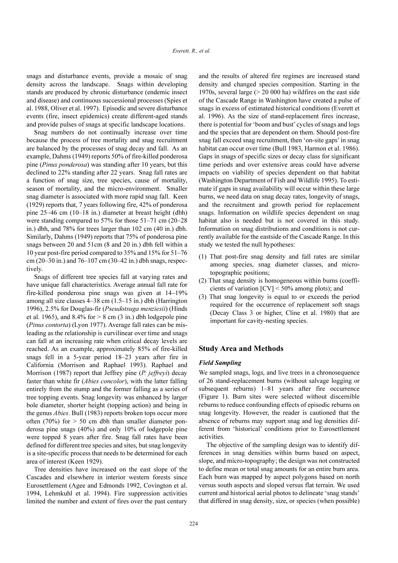snags and disturbance events, provide a mosaic of snag density across the landscape. Snags within developing stands are produced by chronic disturbance (endemic insect and disease) and continuous successional processes (Spies et al. 1988, Oliver et al. 1997). Episodic and severe disturbance events (fire, insect epidemics) create different-aged stands and provide pulses of snags at specific landscape locations.

Snag numbers do not continually increase over time because the process of tree mortality and snag recruitment are balanced by the processes of snag decay and fall. As an example, Dahms (1949) reports 50% of fire-killed ponderosa pine (Pinus ponderosa) was standing after 10 years, but this declined to 22% standing after 22 years. Snag fall rates are a function of snag size, tree species, cause of mortality, season of mortality, and the micro-environment. Smaller snag diameter is associated with more rapid snag fall. Keen (1929) reports that, 7 years following fire, 42% of ponderosa pine 25–46 cm (10–18 in.) diameter at breast height (dbh) were standing compared to 57% for those  $51-71$  cm (20-28) in.) dbh, and 78% for trees larger than 102 cm (40 in.) dbh. Similarly, Dahms (1949) reports that 75% of ponderosa pine snags between 20 and 51cm (8 and 20 in.) dbh fell within a 10 year post-fire period compared to 35% and 15% for 51–76 cm (20–30 in.) and 76–107 cm (30–42 in.) dbh snags, respectively.

Snags of different tree species fall at varying rates and have unique fall characteristics. Average annual fall rate for fire-killed ponderosa pine snags was given at 14–19% among all size classes  $4-38$  cm  $(1.5-15$  in.) dbh (Harrington 1996), 2.5% for Douglas-fir (*Pseudotsuga menziesii*) (Hinds et al. 1965), and 8.4% for  $> 8$  cm (3 in.) dbh lodgepole pine (Pinus contorta) (Lyon 1977). Average fall rates can be misleading as the relationship is curvilinear over time and snags can fall at an increasing rate when critical decay levels are reached. As an example, approximately 85% of fire-killed snags fell in a 5-year period 18-23 years after fire in California (Morrison and Raphael 1993). Raphael and Morrison (1987) report that Jeffrey pine  $(P.$  *jeffreyi*) decay faster than white fir (Abies concolor), with the latter falling entirely from the stump and the former falling as a series of tree topping events. Snag longevity was enhanced by larger bole diameter, shorter height (topping action) and being in the genus Abies. Bull (1983) reports broken tops occur more often  $(70\%)$  for  $> 50$  cm dbh than smaller diameter ponderosa pine snags  $(40\%)$  and only 10% of lodgepole pine were topped 8 years after fire. Snag fall rates have been defined for different tree species and sites, but snag longevity is a site-specific process that needs to be determined for each area of interest (Keen 1929).

Tree densities have increased on the east slope of the Cascades and elsewhere in interior western forests since Eurosettlement (Agee and Edmonds 1992, Covington et al. 1994, Lehmkuhl et al. 1994). Fire suppression activities limited the number and extent of fires over the past century

and the results of altered fire regimes are increased stand density and changed species composition. Starting in the 1970s, several large  $(> 20,000)$  ha) wildfires on the east side of the Cascade Range in Washington have created a pulse of snags in excess of estimated historical conditions (Everett et al. 1996). As the size of stand-replacement fires increase. there is potential for 'boom and bust' cycles of snags and logs and the species that are dependent on them. Should post-fire snag fall exceed snag recruitment, then 'on-site gaps' in snag habitat can occur over time (Bull 1983, Harmon et al. 1986). Gaps in snags of specific sizes or decay class for significant time periods and over extensive areas could have adverse impacts on viability of species dependent on that habitat (Washington Department of Fish and Wildlife 1995). To estimate if gaps in snag availability will occur within these large burns, we need data on snag decay rates, longevity of snags, and the recruitment and growth period for replacement snags. Information on wildlife species dependent on snag habitat also is needed but is not covered in this study. Information on snag distributions and conditions is not currently available for the eastside of the Cascade Range. In this study we tested the null hypotheses:

- (1) That post-fire snag density and fall rates are similar among species, snag diameter classes, and microtopographic positions;
- (2) That snag density is homogeneous within burns (coefficients of variation  $[CV] < 50\%$  among plots); and
- (3) That snag longevity is equal to or exceeds the period required for the occurrence of replacement soft snags (Decay Class 3 or higher, Cline et al. 1980) that are important for cavity-nesting species.

## **Study Area and Methods**

## **Field Sampling**

We sampled snags, logs, and live trees in a chronosequence of 26 stand-replacement burns (without salvage logging or subsequent reburns) 1-81 years after fire occurrence (Figure 1). Burn sites were selected without discernible reburns to reduce confounding effects of episodic reburns on snag longevity. However, the reader is cautioned that the absence of reburns may support snag and log densities different from 'historical' conditions prior to Eurosettlement activities.

The objective of the sampling design was to identify differences in snag densities within burns based on aspect, slope, and micro-topography; the design was not constructed to define mean or total snag amounts for an entire burn area. Each burn was mapped by aspect polygons based on north versus south aspects and sloped versus flat terrain. We used current and historical aerial photos to delineate 'snag stands' that differed in snag density, size, or species (when possible)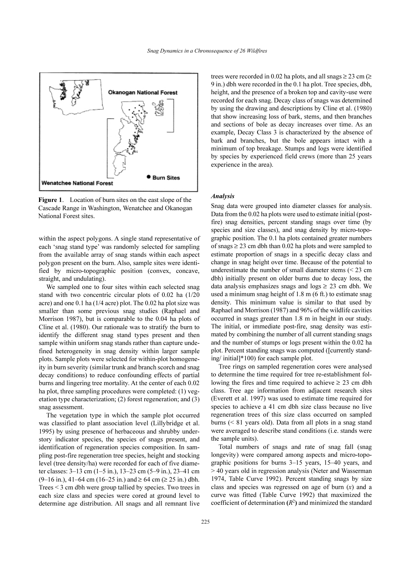

Figure 1. Location of burn sites on the east slope of the Cascade Range in Washington, Wenatchee and Okanogan National Forest sites.

within the aspect polygons. A single stand representative of each 'snag stand type' was randomly selected for sampling from the available array of snag stands within each aspect polygon present on the burn. Also, sample sites were identified by micro-topographic position (convex, concave, straight, and undulating).

We sampled one to four sites within each selected snag stand with two concentric circular plots of 0.02 ha (1/20 acre) and one 0.1 ha (1/4 acre) plot. The 0.02 ha plot size was smaller than some previous snag studies (Raphael and Morrison 1987), but is comparable to the 0.04 ha plots of Cline et al. (1980). Our rationale was to stratify the burn to identify the different snag stand types present and then sample within uniform snag stands rather than capture undefined heterogeneity in snag density within larger sample plots. Sample plots were selected for within-plot homogeneity in burn severity (similar trunk and branch scorch and snag decay conditions) to reduce confounding effects of partial burns and lingering tree mortality. At the center of each 0.02 ha plot, three sampling procedures were completed: (1) vegetation type characterization; (2) forest regeneration; and (3) snag assessment.

The vegetation type in which the sample plot occurred was classified to plant association level (Lillybridge et al. 1995) by using presence of herbaceous and shrubby understory indicator species, the species of snags present, and identification of regeneration species composition. In sampling post-fire regeneration tree species, height and stocking level (tree density/ha) were recorded for each of five diameter classes: 3–13 cm (1–5 in.), 13–23 cm (5–9 in.), 23–41 cm  $(9-16 \text{ in.})$ , 41–64 cm (16–25 in.) and  $\geq 64$  cm ( $\geq 25$  in.) dbh. Trees  $\leq$  3 cm dbh were group tallied by species. Two trees in each size class and species were cored at ground level to determine age distribution. All snags and all remnant live trees were recorded in 0.02 ha plots, and all snags  $\geq$  23 cm ( $\geq$ 9 in.) dbh were recorded in the 0.1 ha plot. Tree species, dbh, height, and the presence of a broken top and cavity-use were recorded for each snag. Decay class of snags was determined by using the drawing and descriptions by Cline et al. (1980) that show increasing loss of bark, stems, and then branches and sections of bole as decay increases over time. As an example, Decay Class 3 is characterized by the absence of bark and branches, but the bole appears intact with a minimum of top breakage. Stumps and logs were identified by species by experienced field crews (more than 25 years experience in the area).

#### **Analysis**

Snag data were grouped into diameter classes for analysis. Data from the 0.02 ha plots were used to estimate initial (postfire) snag densities, percent standing snags over time (by species and size classes), and snag density by micro-topographic position. The 0.1 ha plots contained greater numbers of snags  $\geq$  23 cm dbh than 0.02 ha plots and were sampled to estimate proportion of snags in a specific decay class and change in snag height over time. Because of the potential to underestimate the number of small diameter stems  $(< 23$  cm dbh) initially present on older burns due to decay loss, the data analysis emphasizes snags and logs  $\geq$  23 cm dbh. We used a minimum snag height of  $1.8 \text{ m}$  (6 ft.) to estimate snag density. This minimum value is similar to that used by Raphael and Morrison (1987) and 96% of the wildlife cavities occurred in snags greater than 1.8 m in height in our study. The initial, or immediate post-fire, snag density was estimated by combining the number of all current standing snags and the number of stumps or logs present within the 0.02 ha plot. Percent standing snags was computed ([currently standing/initial<sup>\*</sup>100) for each sample plot.

Tree rings on sampled regeneration cores were analysed to determine the time required for tree re-establishment following the fires and time required to achieve  $\geq 23$  cm dbh class. Tree age information from adjacent research sites (Everett et al. 1997) was used to estimate time required for species to achieve a 41 cm dbh size class because no live regeneration trees of this size class occurred on sampled burns  $( $81$  years old)$ . Data from all plots in a snag stand were averaged to describe stand conditions (i.e. stands were the sample units).

Total numbers of snags and rate of snag fall (snag longevity) were compared among aspects and micro-topographic positions for burns 3-15 years, 15-40 years, and > 40 years old in regression analysis (Neter and Wasserman 1974, Table Curve 1992). Percent standing snags by size class and species was regressed on age of burn  $(x)$  and a curve was fitted (Table Curve 1992) that maximized the coefficient of determination  $(R^2)$  and minimized the standard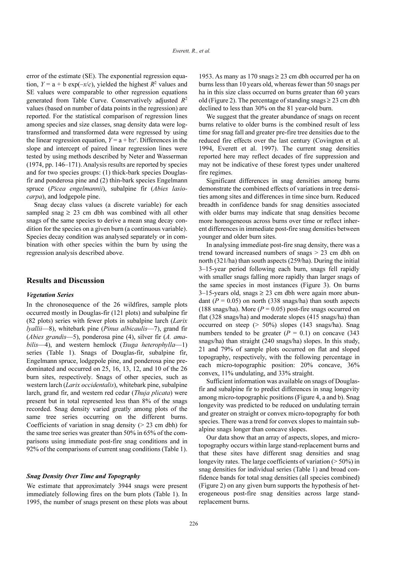error of the estimate (SE). The exponential regression equation,  $Y = a + b \exp(-x/c)$ , yielded the highest  $R^2$  values and SE values were comparable to other regression equations generated from Table Curve. Conservatively adjusted  $R^2$ values (based on number of data points in the regression) are reported. For the statistical comparison of regression lines among species and size classes, snag density data were logtransformed and transformed data were regressed by using the linear regression equation,  $Y = a + bx^c$ . Differences in the slope and intercept of paired linear regression lines were tested by using methods described by Neter and Wasserman (1974, pp. 146–171). Analysis results are reported by species and for two species groups: (1) thick-bark species Douglasfir and ponderosa pine and (2) thin-bark species Engelmann spruce (Picea engelmannii), subalpine fir (Abies lasio*carpa*), and lodgepole pine.

Snag decay class values (a discrete variable) for each sampled snag  $\geq$  23 cm dbh was combined with all other snags of the same species to derive a mean snag decay condition for the species on a given burn (a continuous variable). Species decay condition was analysed separately or in combination with other species within the burn by using the regression analysis described above.

#### **Results and Discussion**

#### **Vegetation Series**

In the chronosequence of the 26 wildfires, sample plots occurred mostly in Douglas-fir (121 plots) and subalpine fir (82 plots) series with fewer plots in subalpine larch (Larix *lyallii*—8), whitebark pine (*Pinus albicaulis*—7), grand fir (Abies grandis-5), ponderosa pine (4), silver fir  $(A.$  amabilis-4), and western hemlock (Tsuga heterophylla-1) series (Table 1). Snags of Douglas-fir, subalpine fir, Engelmann spruce, lodgepole pine, and ponderosa pine predominated and occurred on 25, 16, 13, 12, and 10 of the 26 burn sites, respectively. Snags of other species, such as western larch (Larix occidentalis), whitebark pine, subalpine larch, grand fir, and western red cedar (Thuja plicata) were present but in total represented less than 8% of the snags recorded. Snag density varied greatly among plots of the same tree series occurring on the different burns. Coefficients of variation in snag density  $(> 23$  cm dbh) for the same tree series was greater than 50% in 65% of the comparisons using immediate post-fire snag conditions and in 92% of the comparisons of current snag conditions (Table 1).

#### **Snag Density Over Time and Topography**

We estimate that approximately 3944 snags were present immediately following fires on the burn plots (Table 1). In 1995, the number of snags present on these plots was about 1953. As many as 170 snags  $\geq$  23 cm dbh occurred per ha on burns less than 10 years old, whereas fewer than 50 snags per ha in this size class occurred on burns greater than 60 years old (Figure 2). The percentage of standing snags  $\geq$  23 cm dbh declined to less than 30% on the 81 year-old burn.

We suggest that the greater abundance of snags on recent burns relative to older burns is the combined result of less time for snag fall and greater pre-fire tree densities due to the reduced fire effects over the last century (Covington et al. 1994, Everett et al. 1997). The current snag densities reported here may reflect decades of fire suppression and may not be indicative of these forest types under unaltered fire regimes.

Significant differences in snag densities among burns demonstrate the combined effects of variations in tree densities among sites and differences in time since burn. Reduced breadth in confidence bands for snag densities associated with older burns may indicate that snag densities become more homogeneous across burns over time or reflect inherent differences in immediate post-fire snag densities between younger and older burn sites.

In analysing immediate post-fire snag density, there was a trend toward increased numbers of snags  $> 23$  cm dbh on north (321/ha) than south aspects (259/ha). During the initial 3-15-year period following each burn, snags fell rapidly with smaller snags falling more rapidly than larger snags of the same species in most instances (Figure 3). On burns  $3-15$ -years old, snags  $\geq 23$  cm dbh were again more abundant ( $P = 0.05$ ) on north (338 snags/ha) than south aspects (188 snags/ha). More ( $P = 0.05$ ) post-fire snags occurred on flat (328 snags/ha) and moderate slopes (415 snags/ha) than occurred on steep (> 50%) slopes (143 snags/ha). Snag numbers tended to be greater  $(P = 0.1)$  on concave (343) snags/ha) than straight (240 snags/ha) slopes. In this study, 21 and 79% of sample plots occurred on flat and sloped topography, respectively, with the following percentage in each micro-topographic position: 20% concave, 36% convex, 11% undulating, and 33% straight.

Sufficient information was available on snags of Douglasfir and subalpine fir to predict differences in snag longevity among micro-topographic positions (Figure 4, a and b). Snag longevity was predicted to be reduced on undulating terrain and greater on straight or convex micro-topography for both species. There was a trend for convex slopes to maintain subalpine snags longer than concave slopes.

Our data show that an array of aspects, slopes, and microtopography occurs within large stand-replacement burns and that these sites have different snag densities and snag longevity rates. The large coefficients of variation  $($  > 50%) in snag densities for individual series (Table 1) and broad confidence bands for total snag densities (all species combined) (Figure 2) on any given burn supports the hypothesis of heterogeneous post-fire snag densities across large standreplacement burns.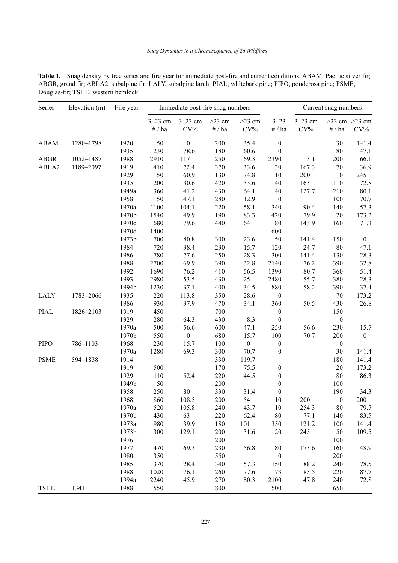| <b>Table 1.</b> Snag density by tree series and fire year for immediate post-fire and current conditions. ABAM, Pacific silver fir: |  |
|-------------------------------------------------------------------------------------------------------------------------------------|--|
| ABGR, grand fir; ABLA2, subalpine fir; LALY, subalpine larch; PIAL, whitebark pine; PIPO, ponderosa pine; PSME,                     |  |
| Douglas-fir: TSHE, western hemlock.                                                                                                 |  |

| Series      | Elevation (m) | Fire year | Immediate post-fire snag numbers |                     |                    |                    |                  | Current snag numbers     |                  |                             |
|-------------|---------------|-----------|----------------------------------|---------------------|--------------------|--------------------|------------------|--------------------------|------------------|-----------------------------|
|             |               |           | $3 - 23$ cm<br>$\#$ / ha         | $3-23$ cm<br>$CV\%$ | $>23$ cm<br># / ha | $>23$ cm<br>$CV\%$ | $3 - 23$<br>#/ha | $3-23$ cm<br>$\rm{CV}\%$ | $\#$ / ha        | $>23$ cm $>23$ cm<br>$CV\%$ |
| <b>ABAM</b> | 1280-1798     | 1920      | 50                               | $\boldsymbol{0}$    | 200                | 35.4               | $\boldsymbol{0}$ |                          | 30               | 141.4                       |
|             |               | 1935      | 230                              | 78.6                | 180                | 60.6               | $\boldsymbol{0}$ |                          | 80               | 47.1                        |
| ABGR        | 1052-1487     | 1988      | 2910                             | 117                 | 250                | 69.3               | 2390             | 113.1                    | 200              | 66.1                        |
| ABLA2       | 1189-2097     | 1919      | 410                              | 72.4                | 370                | 33.6               | 30               | 167.3                    | $70\,$           | 36.9                        |
|             |               | 1929      | 150                              | 60.9                | 130                | 74.8               | 10               | 200                      | 10               | 245                         |
|             |               | 1935      | 200                              | 30.6                | 420                | 33.6               | 40               | 163                      | 110              | 72.8                        |
|             |               | 1949a     | 360                              | 41.2                | 430                | 64.1               | 40               | 127.7                    | 210              | 80.1                        |
|             |               | 1958      | 150                              | 47.1                | 280                | 12.9               | $\boldsymbol{0}$ |                          | 100              | 70.7                        |
|             |               | 1970a     | 1100                             | 104.1               | 220                | 58.1               | 340              | 90.4                     | 140              | 57.3                        |
|             |               | 1970b     | 1540                             | 49.9                | 190                | 83.3               | 420              | 79.9                     | $20\,$           | 173.2                       |
|             |               | 1970c     | 680                              | 79.6                | 440                | 64                 | $80\,$           | 143.9                    | 160              | 71.3                        |
|             |               | 1970d     | 1400                             |                     |                    |                    | 600              |                          |                  |                             |
|             |               | 1973b     | 700                              | 80.8                | 300                | 23.6               | 50               | 141.4                    | 150              | $\boldsymbol{0}$            |
|             |               | 1984      | 720                              | 38.4                | 230                | 15.7               | 120              | 24.7                     | 80               | 47.1                        |
|             |               | 1986      | 780                              | 77.6                | 250                | 28.3               | 300              | 141.4                    | 130              | 28.3                        |
|             |               | 1988      | 2700                             | 69.9                | 390                | 32.8               | 2140             | 76.2                     | 390              | 32.8                        |
|             |               | 1992      | 1690                             | 76.2                | 410                | 56.5               | 1390             | 80.7                     | 360              | 51.4                        |
|             |               | 1993      | 2980                             | 53.5                | 430                | 25                 | 2480             | 55.7                     | 380              | 28.3                        |
|             |               | 1994b     | 1230                             | 37.1                | 400                | 34.5               | 880              | 58.2                     | 390              | 37.4                        |
| <b>LALY</b> | 1783-2066     | 1935      | 220                              | 113.8               | 350                | 28.6               | $\boldsymbol{0}$ |                          | $70\,$           | 173.2                       |
|             |               | 1986      | 930                              | 37.9                | 470                | 34.1               | 360              | 50.5                     | 430              | 26.8                        |
| <b>PIAL</b> | 1826-2103     | 1919      | 450                              |                     | 700                |                    | $\boldsymbol{0}$ |                          | 150              |                             |
|             |               | 1929      | 280                              | 64.3                | 430                | 8.3                | $\boldsymbol{0}$ |                          | $\boldsymbol{0}$ |                             |
|             |               | 1970a     | 500                              | 56.6                | 600                | 47.1               | 250              | 56.6                     | 230              | 15.7                        |
|             |               | 1970b     | 550                              | $\boldsymbol{0}$    | 680                | 15.7               | 100              | 70.7                     | 200              | $\boldsymbol{0}$            |
| <b>PIPO</b> | 786-1103      | 1968      | 230                              | 15.7                | 100                | $\boldsymbol{0}$   | $\boldsymbol{0}$ |                          | $\boldsymbol{0}$ |                             |
|             |               | 1970a     | 1280                             | 69.3                | 300                | 70.7               | $\boldsymbol{0}$ |                          | 30               | 141.4                       |
| <b>PSME</b> | 594-1838      | 1914      |                                  |                     | 330                | 119.7              |                  |                          | 180              | 141.4                       |
|             |               | 1919      | 500                              |                     | 170                | 75.5               | $\boldsymbol{0}$ |                          | 20               | 173.2                       |
|             |               | 1929      | 110                              | 52.4                | 220                | 44.5               | $\boldsymbol{0}$ |                          | 80               | 86.3                        |
|             |               | 1949b     | 50                               |                     | 200                |                    | $\boldsymbol{0}$ |                          | 100              |                             |
|             |               | 1958      | 250                              | 80                  | 330                | 31.4               | $\boldsymbol{0}$ |                          | 190              | 34.3                        |
|             |               | 1968      | 860                              | 108.5               | 200                | 54                 | 10               | 200                      | 10               | 200                         |
|             |               | 1970a     | 520                              | 105.8               | 240                | 43.7               | 10               | 254.3                    | 80               | 79.7                        |
|             |               | 1970b     | 430                              | 63                  | 220                | 62.4               | 80               | 77.1                     | 140              | 83.5                        |
|             |               | 1973a     | 980                              | 39.9                | 180                | 101                | 350              | 121.2                    | 100              | 141.4                       |
|             |               | 1973b     | 300                              | 129.1               | 200                | 31.6               | 20               | 245                      | 50               | 109.5                       |
|             |               | 1976      |                                  |                     | 200                |                    |                  |                          | 100              |                             |
|             |               | 1977      | 470                              | 69.3                | 230                | 56.8               | $80\,$           | 173.6                    | 160              | 48.9                        |
|             |               | 1980      | 350                              |                     | 550                |                    | $\boldsymbol{0}$ |                          | 200              |                             |
|             |               | 1985      | 370                              | 28.4                | 340                | 57.3               | 150              | 88.2                     | 240              | 78.5                        |
|             |               | 1988      | 1020                             | 76.1                | 260                | 77.6               | 73               | 85.5                     | 220              | 87.7                        |
|             |               | 1994a     | 2240                             | 45.9                | 270                | 80.3               | 2100             | 47.8                     | 240              | 72.8                        |
| <b>TSHE</b> | 1341          | 1988      | 550                              |                     | 800                |                    | 500              |                          | 650              |                             |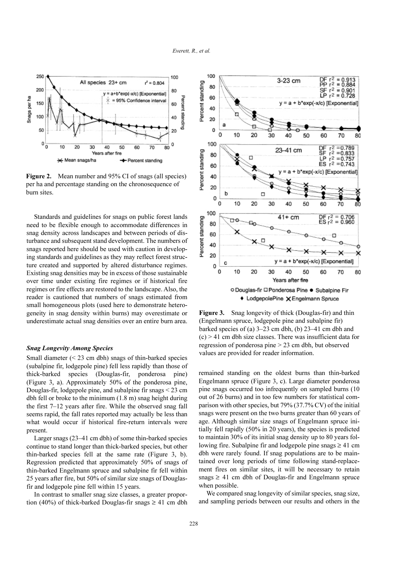

Mean number and 95% CI of snags (all species) Figure 2. per ha and percentage standing on the chronosequence of burn sites.

Standards and guidelines for snags on public forest lands need to be flexible enough to accommodate differences in snag density across landscapes and between periods of disturbance and subsequent stand development. The numbers of snags reported here should be used with caution in developing standards and guidelines as they may reflect forest structure created and supported by altered disturbance regimes. Existing snag densities may be in excess of those sustainable over time under existing fire regimes or if historical fire regimes or fire effects are restored to the landscape. Also, the reader is cautioned that numbers of snags estimated from small homogeneous plots (used here to demonstrate heterogeneity in snag density within burns) may overestimate or underestimate actual snag densities over an entire burn area.

#### **Snag Longevity Among Species**

Small diameter  $(< 23$  cm dbh) snags of thin-barked species (subalpine fir, lodgepole pine) fell less rapidly than those of thick-barked species (Douglas-fir, ponderosa pine) (Figure 3, a). Approximately 50% of the ponderosa pine, Douglas-fir, lodgepole pine, and subalpine fir snags  $\leq$  23 cm dbh fell or broke to the minimum (1.8 m) snag height during the first  $7-12$  years after fire. While the observed snag fall seems rapid, the fall rates reported may actually be less than what would occur if historical fire-return intervals were present.

Larger snags (23–41 cm dbh) of some thin-barked species continue to stand longer than thick-barked species, but other thin-barked species fell at the same rate (Figure 3, b). Regression predicted that approximately 50% of snags of thin-barked Engelmann spruce and subalpine fir fell within 25 years after fire, but 50% of similar size snags of Douglasfir and lodgepole pine fell within 15 years.

In contrast to smaller snag size classes, a greater proportion (40%) of thick-barked Douglas-fir snags  $\geq$  41 cm dbh



**Figure 3.** Snag longevity of thick (Douglas-fir) and thin (Engelmann spruce, lodgepole pine and subalpine fir) barked species of (a)  $3-23$  cm dbh, (b)  $23-41$  cm dbh and  $(c)$  > 41 cm dbh size classes. There was insufficient data for regression of ponderosa pine > 23 cm dbh, but observed values are provided for reader information.

remained standing on the oldest burns than thin-barked Engelmann spruce (Figure 3, c). Large diameter ponderosa pine snags occurred too infrequently on sampled burns (10) out of 26 burns) and in too few numbers for statistical comparison with other species, but 79% (37.7% CV) of the initial snags were present on the two burns greater than 60 years of age. Although similar size snags of Engelmann spruce initially fell rapidly (50% in 20 years), the species is predicted to maintain 30% of its initial snag density up to 80 years following fire. Subalpine fir and lodgepole pine snags  $\geq 41$  cm dbh were rarely found. If snag populations are to be maintained over long periods of time following stand-replacement fires on similar sites, it will be necessary to retain snags  $\geq$  41 cm dbh of Douglas-fir and Engelmann spruce when possible.

We compared snag longevity of similar species, snag size, and sampling periods between our results and others in the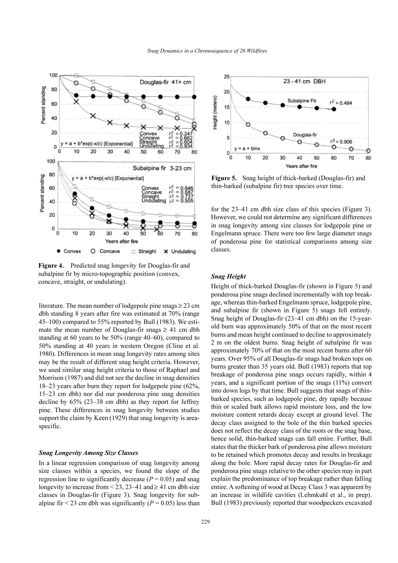



Figure 4. Predicted snag longevity for Douglas-fir and subalpine fir by micro-topographic position (convex, concave, straight, or undulating).

literature. The mean number of lodgepole pine snags  $\geq$  23 cm dbh standing 8 years after fire was estimated at 70% (range 45–100) compared to 55% reported by Bull (1983). We estimate the mean number of Douglas-fir snags  $\geq 41$  cm dbh standing at 60 years to be  $50\%$  (range 40–60), compared to 50% standing at 40 years in western Oregon (Cline et al. 1980). Differences in mean snag longevity rates among sites may be the result of different snag height criteria. However, we used similar snag height criteria to those of Raphael and Morrison (1987) and did not see the decline in snag densities 18-23 years after burn they report for lodgepole pine (62%, 15–23 cm dbh) nor did our ponderosa pine snag densities decline by  $65\%$  (23–38 cm dbh) as they report for Jeffrey pine. These differences in snag longevity between studies support the claim by Keen (1929) that snag longevity is areaspecific.

#### **Snag Longevity Among Size Classes**

In a linear regression comparison of snag longevity among size classes within a species, we found the slope of the regression line to significantly decrease ( $P = 0.05$ ) and snag longevity to increase from  $\leq$  23, 23–41 and  $\geq$  41 cm dbh size classes in Douglas-fir (Figure 3). Snag longevity for subalpine fir < 23 cm dbh was significantly ( $P = 0.05$ ) less than



Figure 5. Snag height of thick-barked (Douglas-fir) and thin-barked (subalpine fir) tree species over time.

for the 23–41 cm dbh size class of this species (Figure 3). However, we could not determine any significant differences in snag longevity among size classes for lodgepole pine or Engelmann spruce. There were too few large diameter snags of ponderosa pine for statistical comparisons among size classes

## **Snag Height**

Height of thick-barked Douglas-fir (shown in Figure 5) and ponderosa pine snags declined incrementally with top breakage, whereas thin-barked Engelmann spruce, lodgepole pine, and subalpine fir (shown in Figure 5) snags fell entirely. Snag height of Douglas-fir (23–41 cm dbh) on the 15-yearold burn was approximately 50% of that on the most recent burns and mean height continued to decline to approximately 2 m on the oldest burns. Snag height of subalpine fir was approximately 70% of that on the most recent burns after 60 years. Over 95% of all Douglas-fir snags had broken tops on burns greater than 35 years old. Bull (1983) reports that top breakage of ponderosa pine snags occurs rapidly, within 4 years, and a significant portion of the snags (11%) convert into down logs by that time. Bull suggests that snags of thinbarked species, such as lodgepole pine, dry rapidly because thin or scaled bark allows rapid moisture loss, and the low moisture content retards decay except at ground level. The decay class assigned to the bole of the thin barked species does not reflect the decay class of the roots or the snag base, hence solid, thin-barked snags can fall entire. Further, Bull states that the thicker bark of ponderosa pine allows moisture to be retained which promotes decay and results in breakage along the bole. More rapid decay rates for Douglas-fir and ponderosa pine snags relative to the other species may in part explain the predominance of top breakage rather than falling entire. A softening of wood at Decay Class 3 was apparent by an increase in wildlife cavities (Lehmkuhl et al., in prep). Bull (1983) previously reported that woodpeckers excavated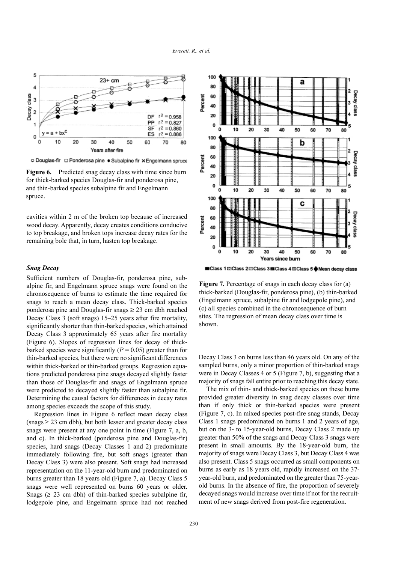

o Douglas-fir □ Ponderosa pine · Subalpine fir x Engelmann spruce

Figure 6. Predicted snag decay class with time since burn for thick-barked species Douglas-fir and ponderosa pine, and thin-barked species subalpine fir and Engelmann spruce.

cavities within 2 m of the broken top because of increased wood decay. Apparently, decay creates conditions conducive to top breakage, and broken tops increase decay rates for the remaining bole that, in turn, hasten top breakage.

#### **Snag Decay**

Sufficient numbers of Douglas-fir, ponderosa pine, subalpine fir, and Engelmann spruce snags were found on the chronosequence of burns to estimate the time required for snags to reach a mean decay class. Thick-barked species ponderosa pine and Douglas-fir snags  $\geq$  23 cm dbh reached Decay Class 3 (soft snags) 15–25 years after fire mortality, significantly shorter than thin-barked species, which attained Decay Class 3 approximately 65 years after fire mortality (Figure 6). Slopes of regression lines for decay of thickbarked species were significantly ( $P = 0.05$ ) greater than for thin-barked species, but there were no significant differences within thick-barked or thin-barked groups. Regression equations predicted ponderosa pine snags decayed slightly faster than those of Douglas-fir and snags of Engelmann spruce were predicted to decayed slightly faster than subalpine fir. Determining the causal factors for differences in decay rates among species exceeds the scope of this study.

Regression lines in Figure 6 reflect mean decay class  $(s \nvert s \geq 23$  cm dbh), but both lesser and greater decay class snags were present at any one point in time (Figure 7, a, b, and c). In thick-barked (ponderosa pine and Douglas-fir) species, hard snags (Decay Classes 1 and 2) predominate immediately following fire, but soft snags (greater than Decay Class 3) were also present. Soft snags had increased representation on the 11-year-old burn and predominated on burns greater than 18 years old (Figure 7, a). Decay Class 5 snags were well represented on burns 60 years or older. Snags ( $\geq$  23 cm dbh) of thin-barked species subalpine fir, lodgepole pine, and Engelmann spruce had not reached



■Class 1 ElClass 2 ElClass 3 **ElClass 4 ElClass 5 ♦ Mean decay class** 

Figure 7. Percentage of snags in each decay class for (a) thick-barked (Douglas-fir, ponderosa pine), (b) thin-barked (Engelmann spruce, subalpine fir and lodgepole pine), and (c) all species combined in the chronosequence of burn sites. The regression of mean decay class over time is shown.

Decay Class 3 on burns less than 46 years old. On any of the sampled burns, only a minor proportion of thin-barked snags were in Decay Classes 4 or 5 (Figure 7, b), suggesting that a majority of snags fall entire prior to reaching this decay state.

The mix of thin- and thick-barked species on these burns provided greater diversity in snag decay classes over time than if only thick or thin-barked species were present (Figure 7, c). In mixed species post-fire snag stands, Decay Class 1 snags predominated on burns 1 and 2 years of age, but on the 3- to 15-year-old burns, Decay Class 2 made up greater than 50% of the snags and Decay Class 3 snags were present in small amounts. By the 18-year-old burn, the majority of snags were Decay Class 3, but Decay Class 4 was also present. Class 5 snags occurred as small components on burns as early as 18 years old, rapidly increased on the 37year-old burn, and predominated on the greater than 75-yearold burns. In the absence of fire, the proportion of severely decayed snags would increase over time if not for the recruitment of new snags derived from post-fire regeneration.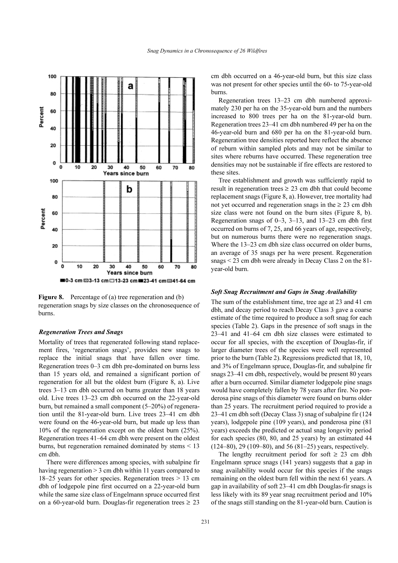

Figure 8. Percentage of (a) tree regeneration and (b) regeneration snags by size classes on the chronosequence of burns.

## **Regeneration Trees and Snags**

Mortality of trees that regenerated following stand replacement fires, 'regeneration snags', provides new snags to replace the initial snags that have fallen over time. Regeneration trees 0–3 cm dbh pre-dominated on burns less than 15 years old, and remained a significant portion of regeneration for all but the oldest burn (Figure 8, a). Live trees 3–13 cm dbh occurred on burns greater than 18 years old. Live trees 13-23 cm dbh occurred on the 22-year-old burn, but remained a small component (5-20%) of regeneration until the 81-year-old burn. Live trees 23–41 cm dbh were found on the 46-year-old burn, but made up less than 10% of the regeneration except on the oldest burn  $(25\%)$ . Regeneration trees 41–64 cm dbh were present on the oldest burns, but regeneration remained dominated by stems  $\leq 13$ cm dbh.

There were differences among species, with subalpine fir having regeneration  $> 3$  cm dbh within 11 years compared to 18–25 years for other species. Regeneration trees  $> 13$  cm dbh of lodgepole pine first occurred on a 22-year-old burn while the same size class of Engelmann spruce occurred first on a 60-year-old burn. Douglas-fir regeneration trees  $\geq 23$ 

cm dbh occurred on a 46-year-old burn, but this size class was not present for other species until the 60- to 75-year-old burns.

Regeneration trees 13–23 cm dbh numbered approximately 230 per ha on the 35-year-old burn and the numbers increased to 800 trees per ha on the 81-year-old burn. Regeneration trees 23–41 cm dbh numbered 49 per ha on the 46-year-old burn and 680 per ha on the 81-year-old burn. Regeneration tree densities reported here reflect the absence of reburn within sampled plots and may not be similar to sites where reburns have occurred. These regeneration tree densities may not be sustainable if fire effects are restored to these sites.

Tree establishment and growth was sufficiently rapid to result in regeneration trees  $\geq$  23 cm dbh that could become replacement snags (Figure 8, a). However, tree mortality had not yet occurred and regeneration snags in the  $\geq 23$  cm dbh size class were not found on the burn sites (Figure 8, b). Regeneration snags of  $0-3$ ,  $3-13$ , and  $13-23$  cm dbh first occurred on burns of 7, 25, and 66 years of age, respectively, but on numerous burns there were no regeneration snags. Where the 13–23 cm dbh size class occurred on older burns, an average of 35 snags per ha were present. Regeneration snags  $<$  23 cm dbh were already in Decay Class 2 on the 81year-old burn.

#### **Soft Snag Recruitment and Gaps in Snag Availability**

The sum of the establishment time, tree age at 23 and 41 cm dbh, and decay period to reach Decay Class 3 gave a coarse estimate of the time required to produce a soft snag for each species (Table 2). Gaps in the presence of soft snags in the 23-41 and 41-64 cm dbh size classes were estimated to occur for all species, with the exception of Douglas-fir, if larger diameter trees of the species were well represented prior to the burn (Table 2). Regressions predicted that 18, 10, and 3% of Engelmann spruce, Douglas-fir, and subalpine fir snags 23–41 cm dbh, respectively, would be present 80 years after a burn occurred. Similar diameter lodgepole pine snags would have completely fallen by 78 years after fire. No ponderosa pine snags of this diameter were found on burns older than 25 years. The recruitment period required to provide a 23–41 cm dbh soft (Decay Class 3) snag of subalpine fir (124 years), lodgepole pine (109 years), and ponderosa pine (81) years) exceeds the predicted or actual snag longevity period for each species (80, 80, and 25 years) by an estimated 44  $(124-80)$ , 29  $(109-80)$ , and 56  $(81-25)$  years, respectively.

The lengthy recruitment period for soft  $\geq 23$  cm dbh Engelmann spruce snags (141 years) suggests that a gap in snag availability would occur for this species if the snags remaining on the oldest burn fell within the next 61 years. A gap in availability of soft 23-41 cm dbh Douglas-fir snags is less likely with its 89 year snag recruitment period and 10% of the snags still standing on the 81-year-old burn. Caution is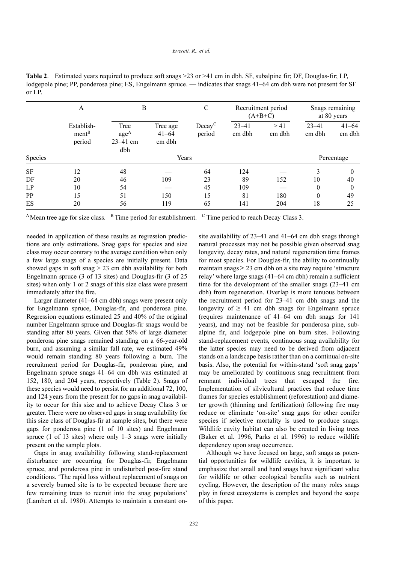Table 2. Estimated years required to produce soft snags > 23 or > 41 cm in dbh. SF, subalpine fir; DF, Douglas-fir; LP, lodgepole pine; PP, ponderosa pine; ES, Engelmann spruce. — indicates that snags 41–64 cm dbh were not present for SF or LP.

|           | A                                         | B                                               |                                 | $\mathcal{C}$       |                     | Recruitment period<br>$(A+B+C)$ | Snags remaining<br>at 80 years |                     |  |
|-----------|-------------------------------------------|-------------------------------------------------|---------------------------------|---------------------|---------------------|---------------------------------|--------------------------------|---------------------|--|
|           | Establish-<br>ment <sup>B</sup><br>period | Tree<br>age <sup>A</sup><br>$23 - 41$ cm<br>dbh | Tree age<br>$41 - 64$<br>cm dbh | $Decay^C$<br>period | $23 - 41$<br>cm dbh | > 41<br>cm dbh                  | $23 - 41$<br>cm dbh            | $41 - 64$<br>cm dbh |  |
| Species   | Years                                     |                                                 |                                 |                     |                     |                                 | Percentage                     |                     |  |
| <b>SF</b> | 12                                        | 48                                              |                                 | 64                  | 124                 |                                 | 3                              | $\theta$            |  |
| DF        | 20                                        | 46                                              | 109                             | 23                  | 89                  | 152                             | 10                             | 40                  |  |
| LP        | 10                                        | 54                                              |                                 | 45                  | 109                 |                                 | $\theta$                       | $\Omega$            |  |
| PP        | 15                                        | 51                                              | 150                             | 15                  | 81                  | 180                             | $\theta$                       | 49                  |  |
| ES        | 20                                        | 56                                              | 119                             | 65                  | 141                 | 204                             | 18                             | 25                  |  |

<sup>A</sup>Mean tree age for size class. <sup>B</sup> Time period for establishment. <sup>C</sup> Time period to reach Decay Class 3.

needed in application of these results as regression predictions are only estimations. Snag gaps for species and size class may occur contrary to the average condition when only a few large snags of a species are initially present. Data showed gaps in soft snag  $>$  23 cm dbh availability for both Engelmann spruce (3 of 13 sites) and Douglas-fir (3 of 25 sites) when only 1 or 2 snags of this size class were present immediately after the fire.

Larger diameter (41–64 cm dbh) snags were present only for Engelmann spruce, Douglas-fir, and ponderosa pine. Regression equations estimated 25 and 40% of the original number Engelmann spruce and Douglas-fir snags would be standing after 80 years. Given that 58% of large diameter ponderosa pine snags remained standing on a 66-year-old burn, and assuming a similar fall rate, we estimated 49% would remain standing 80 years following a burn. The recruitment period for Douglas-fir, ponderosa pine, and Engelmann spruce snags 41-64 cm dbh was estimated at 152, 180, and 204 years, respectively (Table 2). Snags of these species would need to persist for an additional 72, 100, and 124 years from the present for no gaps in snag availability to occur for this size and to achieve Decay Class 3 or greater. There were no observed gaps in snag availability for this size class of Douglas-fir at sample sites, but there were gaps for ponderosa pine (1 of 10 sites) and Engelmann spruce  $(1 \text{ of } 13 \text{ sites})$  where only  $1-3$  snags were initially present on the sample plots.

Gaps in snag availability following stand-replacement disturbance are occurring for Douglas-fir, Engelmann spruce, and ponderosa pine in undisturbed post-fire stand conditions. 'The rapid loss without replacement of snags on a severely burned site is to be expected because there are few remaining trees to recruit into the snag populations' (Lambert et al. 1980). Attempts to maintain a constant onsite availability of 23–41 and 41–64 cm dbh snags through natural processes may not be possible given observed snag longevity, decay rates, and natural regeneration time frames for most species. For Douglas-fir, the ability to continually maintain snags  $\geq$  23 cm dbh on a site may require 'structure' relay' where large snags (41-64 cm dbh) remain a sufficient time for the development of the smaller snags (23–41 cm) dbh) from regeneration. Overlap is more tenuous between the recruitment period for 23–41 cm dbh snags and the longevity of  $\geq$  41 cm dbh snags for Engelmann spruce (requires maintenance of 41-64 cm dbh snags for 141 years), and may not be feasible for ponderosa pine, subalpine fir, and lodgepole pine on burn sites. Following stand-replacement events, continuous snag availability for the latter species may need to be derived from adjacent stands on a landscape basis rather than on a continual on-site basis. Also, the potential for within-stand 'soft snag gaps' may be ameliorated by continuous snag recruitment from individual trees that escaped remnant the fire. Implementation of silvicultural practices that reduce time frames for species establishment (reforestation) and diameter growth (thinning and fertilization) following fire may reduce or eliminate 'on-site' snag gaps for other conifer species if selective mortality is used to produce snags. Wildlife cavity habitat can also be created in living trees (Baker et al. 1996, Parks et al. 1996) to reduce wildlife dependency upon snag occurrence.

Although we have focused on large, soft snags as potential opportunities for wildlife cavities, it is important to emphasize that small and hard snags have significant value for wildlife or other ecological benefits such as nutrient cycling. However, the description of the many roles snags play in forest ecosystems is complex and beyond the scope of this paper.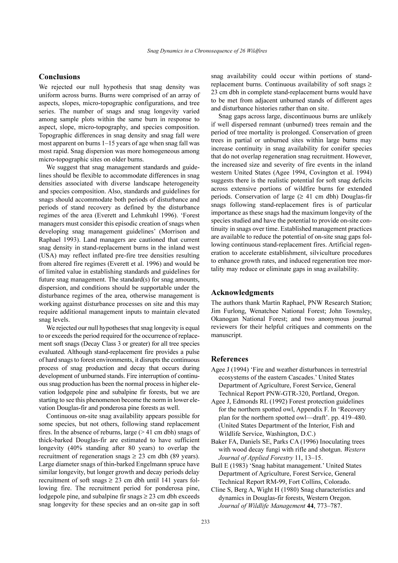## **Conclusions**

We rejected our null hypothesis that snag density was uniform across burns. Burns were comprised of an array of aspects, slopes, micro-topographic configurations, and tree series. The number of snags and snag longevity varied among sample plots within the same burn in response to aspect, slope, micro-topography, and species composition. Topographic differences in snag density and snag fall were most apparent on burns 1–15 years of age when snag fall was most rapid. Snag dispersion was more homogeneous among micro-topographic sites on older burns.

We suggest that snag management standards and guidelines should be flexible to accommodate differences in snag densities associated with diverse landscape heterogeneity and species composition. Also, standards and guidelines for snags should accommodate both periods of disturbance and periods of stand recovery as defined by the disturbance regimes of the area (Everett and Lehmkuhl 1996). 'Forest managers must consider this episodic creation of snags when developing snag management guidelines' (Morrison and Raphael 1993). Land managers are cautioned that current snag density in stand-replacement burns in the inland west (USA) may reflect inflated pre-fire tree densities resulting from altered fire regimes (Everett et al. 1996) and would be of limited value in establishing standards and guidelines for future snag management. The standard(s) for snag amounts, dispersion, and conditions should be supportable under the disturbance regimes of the area, otherwise management is working against disturbance processes on site and this may require additional management inputs to maintain elevated snag levels.

We rejected our null hypotheses that snag longevity is equal to or exceeds the period required for the occurrence of replacement soft snags (Decay Class 3 or greater) for all tree species evaluated. Although stand-replacement fire provides a pulse of hard snags to forest environments, it disrupts the continuous process of snag production and decay that occurs during development of unburned stands. Fire interruption of continuous snag production has been the normal process in higher elevation lodgepole pine and subalpine fir forests, but we are starting to see this phenomenon become the norm in lower elevation Douglas-fir and ponderosa pine forests as well.

Continuous on-site snag availability appears possible for some species, but not others, following stand replacement fires. In the absence of reburns, large  $(>41 \text{ cm dbh})$  snags of thick-barked Douglas-fir are estimated to have sufficient longevity (40% standing after 80 years) to overlap the recruitment of regeneration snags  $\geq$  23 cm dbh (89 years). Large diameter snags of thin-barked Engelmann spruce have similar longevity, but longer growth and decay periods delay recruitment of soft snags  $\geq$  23 cm dbh until 141 vears following fire. The recruitment period for ponderosa pine. lodgepole pine, and subalpine fir snags  $\geq$  23 cm dbh exceeds snag longevity for these species and an on-site gap in soft snag availability could occur within portions of standreplacement burns. Continuous availability of soft snags  $\geq$ 23 cm dbh in complete stand-replacement burns would have to be met from adiacent unburned stands of different ages and disturbance histories rather than on site.

Snag gaps across large, discontinuous burns are unlikely if well dispersed remnant (unburned) trees remain and the period of tree mortality is prolonged. Conservation of green trees in partial or unburned sites within large burns may increase continuity in snag availability for conifer species that do not overlap regeneration snag recruitment. However, the increased size and severity of fire events in the inland western United States (Agee 1994, Covington et al. 1994) suggests there is the realistic potential for soft snag deficits across extensive portions of wildfire burns for extended periods. Conservation of large ( $\geq 41$  cm dbh) Douglas-fir snags following stand-replacement fires is of particular importance as these snags had the maximum longevity of the species studied and have the potential to provide on-site continuity in snags over time. Established management practices are available to reduce the potential of on-site snag gaps following continuous stand-replacement fires. Artificial regeneration to accelerate establishment, silviculture procedures to enhance growth rates, and induced regeneration tree mortality may reduce or eliminate gaps in snag availability.

# **Acknowledgments**

The authors thank Martin Raphael, PNW Research Station; Jim Furlong, Wenatchee National Forest; John Townsley, Okanogan National Forest; and two anonymous journal reviewers for their helpful critiques and comments on the manuscript.

## **References**

- Agee J (1994) 'Fire and weather disturbances in terrestrial ecosystems of the eastern Cascades.' United States Department of Agriculture, Forest Service, General Technical Report PNW-GTR-320, Portland, Oregon.
- Agee J. Edmonds RL (1992) Forest protection guidelines for the northern spotted owl, Appendix F. In 'Recovery plan for the northern spotted owl—draft'. pp. 419–480. (United States Department of the Interior, Fish and Wildlife Service, Washington, D.C.)
- Baker FA, Daniels SE, Parks CA (1996) Inoculating trees with wood decay fungi with rifle and shotgun. Western Journal of Applied Forestry 11, 13-15.
- Bull E (1983) 'Snag habitat management.' United States Department of Agriculture, Forest Service, General Technical Report RM-99, Fort Collins, Colorado.
- Cline S. Berg A. Wight H (1980) Snag characteristics and dynamics in Douglas-fir forests, Western Oregon. Journal of Wildlife Management 44, 773-787.